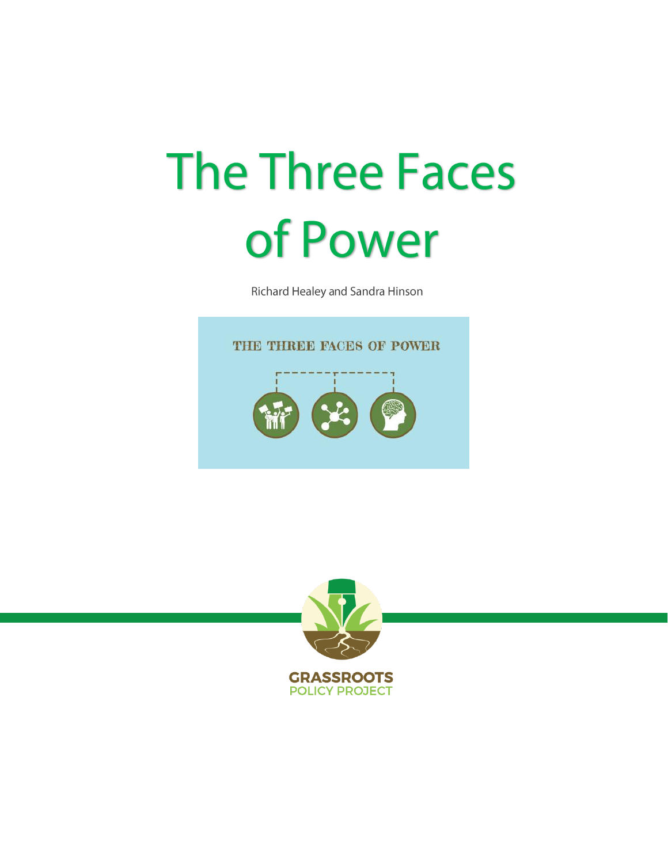# **The Three Faces** of Power

Richard Healey and Sandra Hinson



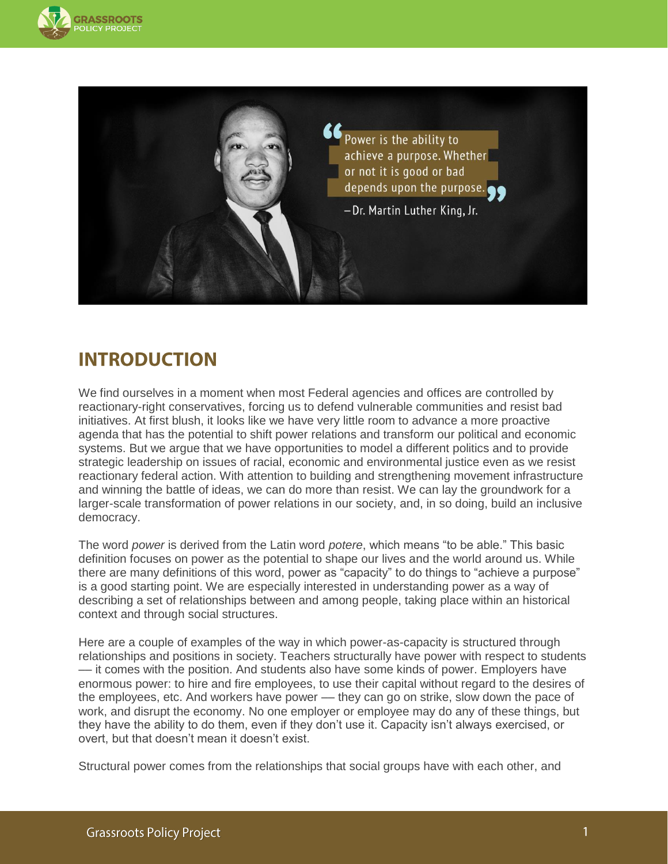



## **INTRODUCTION**

We find ourselves in a moment when most Federal agencies and offices are controlled by reactionary-right conservatives, forcing us to defend vulnerable communities and resist bad initiatives. At first blush, it looks like we have very little room to advance a more proactive agenda that has the potential to shift power relations and transform our political and economic systems. But we argue that we have opportunities to model a different politics and to provide strategic leadership on issues of racial, economic and environmental justice even as we resist reactionary federal action. With attention to building and strengthening movement infrastructure and winning the battle of ideas, we can do more than resist. We can lay the groundwork for a larger-scale transformation of power relations in our society, and, in so doing, build an inclusive democracy.

The word *power* is derived from the Latin word *potere*, which means "to be able." This basic definition focuses on power as the potential to shape our lives and the world around us. While there are many definitions of this word, power as "capacity" to do things to "achieve a purpose" is a good starting point. We are especially interested in understanding power as a way of describing a set of relationships between and among people, taking place within an historical context and through social structures.

Here are a couple of examples of the way in which power-as-capacity is structured through relationships and positions in society. Teachers structurally have power with respect to students –– it comes with the position. And students also have some kinds of power. Employers have enormous power: to hire and fire employees, to use their capital without regard to the desires of the employees, etc. And workers have power — they can go on strike, slow down the pace of work, and disrupt the economy. No one employer or employee may do any of these things, but they have the ability to do them, even if they don't use it. Capacity isn't always exercised, or overt, but that doesn't mean it doesn't exist.

Structural power comes from the relationships that social groups have with each other, and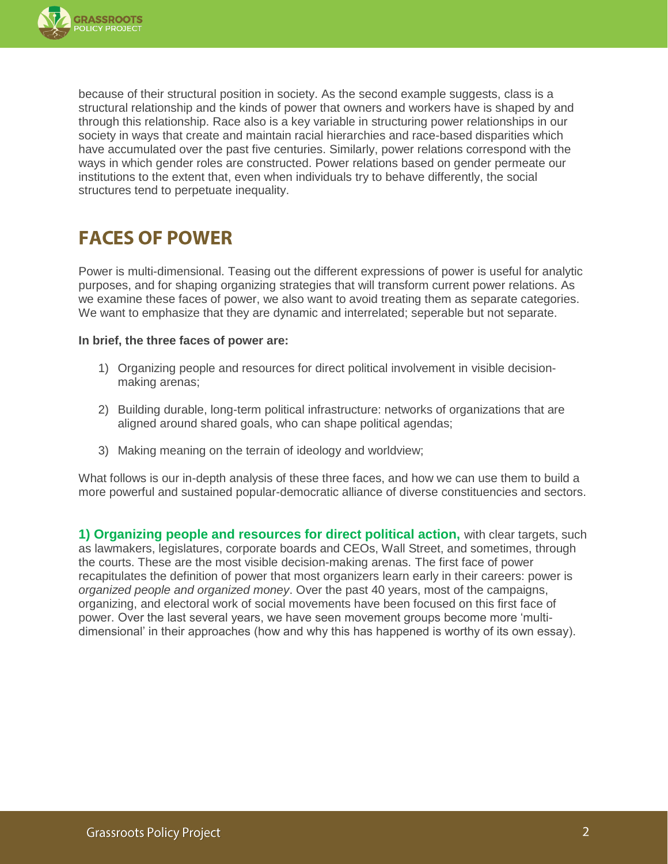

because of their structural position in society. As the second example suggests, class is a structural relationship and the kinds of power that owners and workers have is shaped by and through this relationship. Race also is a key variable in structuring power relationships in our society in ways that create and maintain racial hierarchies and race-based disparities which have accumulated over the past five centuries. Similarly, power relations correspond with the ways in which gender roles are constructed. Power relations based on gender permeate our institutions to the extent that, even when individuals try to behave differently, the social structures tend to perpetuate inequality.

## **FACES OF POWER**

Power is multi-dimensional. Teasing out the different expressions of power is useful for analytic purposes, and for shaping organizing strategies that will transform current power relations. As we examine these faces of power, we also want to avoid treating them as separate categories. We want to emphasize that they are dynamic and interrelated; seperable but not separate.

#### **In brief, the three faces of power are:**

- 1) Organizing people and resources for direct political involvement in visible decisionmaking arenas;
- 2) Building durable, long-term political infrastructure: networks of organizations that are aligned around shared goals, who can shape political agendas;
- 3) Making meaning on the terrain of ideology and worldview;

What follows is our in-depth analysis of these three faces, and how we can use them to build a more powerful and sustained popular-democratic alliance of diverse constituencies and sectors.

**1) Organizing people and resources for direct political action,** with clear targets, such as lawmakers, legislatures, corporate boards and CEOs, Wall Street, and sometimes, through the courts. These are the most visible decision-making arenas. The first face of power recapitulates the definition of power that most organizers learn early in their careers: power is *organized people and organized money*. Over the past 40 years, most of the campaigns, organizing, and electoral work of social movements have been focused on this first face of power. Over the last several years, we have seen movement groups become more 'multidimensional' in their approaches (how and why this has happened is worthy of its own essay).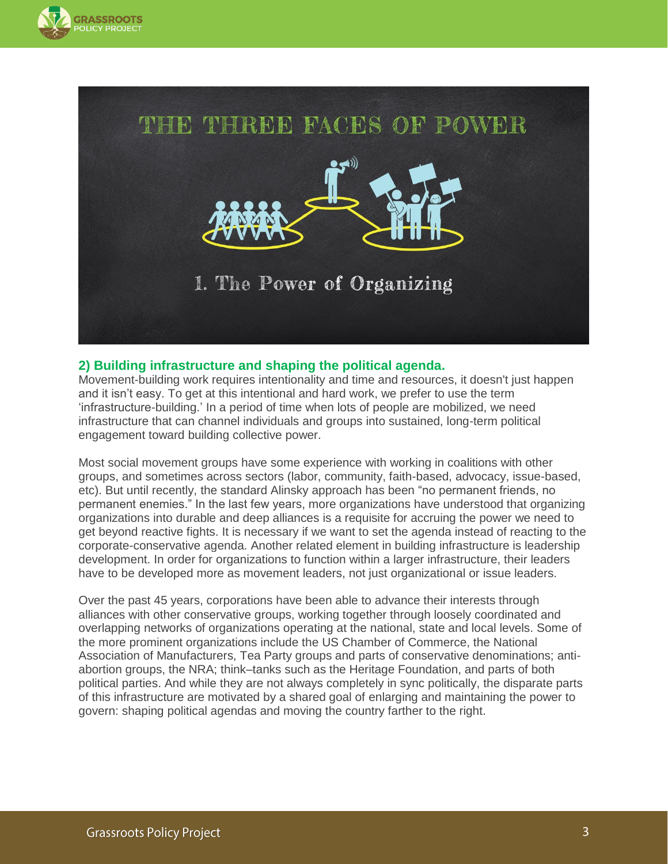



#### **2) Building infrastructure and shaping the political agenda.**

Movement-building work requires intentionality and time and resources, it doesn't just happen and it isn't easy. To get at this intentional and hard work, we prefer to use the term 'infrastructure-building.' In a period of time when lots of people are mobilized, we need infrastructure that can channel individuals and groups into sustained, long-term political engagement toward building collective power.

Most social movement groups have some experience with working in coalitions with other groups, and sometimes across sectors (labor, community, faith-based, advocacy, issue-based, etc). But until recently, the standard Alinsky approach has been "no permanent friends, no permanent enemies." In the last few years, more organizations have understood that organizing organizations into durable and deep alliances is a requisite for accruing the power we need to get beyond reactive fights. It is necessary if we want to set the agenda instead of reacting to the corporate-conservative agenda. Another related element in building infrastructure is leadership development. In order for organizations to function within a larger infrastructure, their leaders have to be developed more as movement leaders, not just organizational or issue leaders.

Over the past 45 years, corporations have been able to advance their interests through alliances with other conservative groups, working together through loosely coordinated and overlapping networks of organizations operating at the national, state and local levels. Some of the more prominent organizations include the US Chamber of Commerce, the National Association of Manufacturers, Tea Party groups and parts of conservative denominations; antiabortion groups, the NRA; think–tanks such as the Heritage Foundation, and parts of both political parties. And while they are not always completely in sync politically, the disparate parts of this infrastructure are motivated by a shared goal of enlarging and maintaining the power to govern: shaping political agendas and moving the country farther to the right.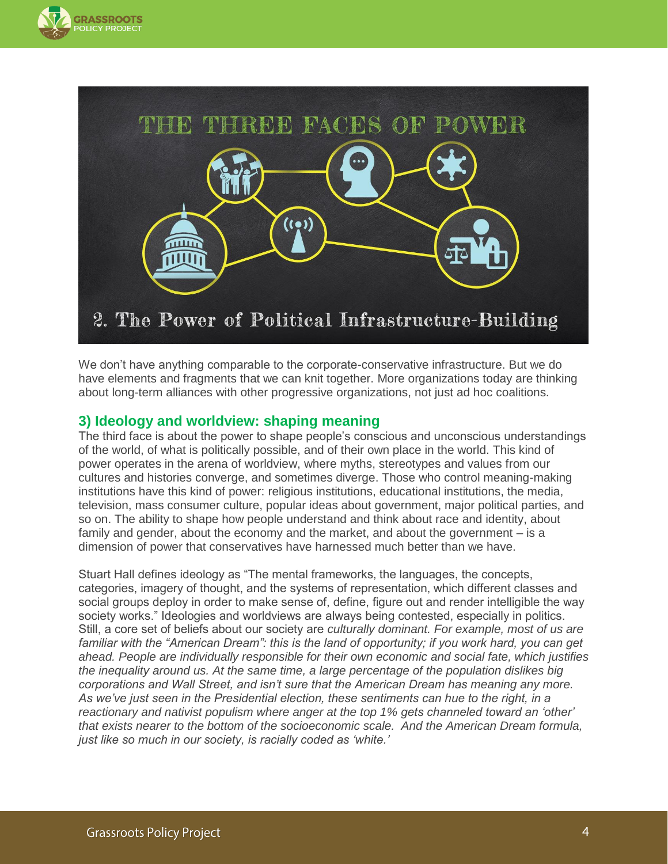



We don't have anything comparable to the corporate-conservative infrastructure. But we do have elements and fragments that we can knit together. More organizations today are thinking about long-term alliances with other progressive organizations, not just ad hoc coalitions.

#### **3) Ideology and worldview: shaping meaning**

The third face is about the power to shape people's conscious and unconscious understandings of the world, of what is politically possible, and of their own place in the world. This kind of power operates in the arena of worldview, where myths, stereotypes and values from our cultures and histories converge, and sometimes diverge. Those who control meaning-making institutions have this kind of power: religious institutions, educational institutions, the media, television, mass consumer culture, popular ideas about government, major political parties, and so on. The ability to shape how people understand and think about race and identity, about family and gender, about the economy and the market, and about the government – is a dimension of power that conservatives have harnessed much better than we have.

Stuart Hall defines ideology as "The mental frameworks, the languages, the concepts, categories, imagery of thought, and the systems of representation, which different classes and social groups deploy in order to make sense of, define, figure out and render intelligible the way society works." Ideologies and worldviews are always being contested, especially in politics. Still, a core set of beliefs about our society are *culturally dominant. For example, most of us are familiar with the "American Dream": this is the land of opportunity; if you work hard, you can get ahead. People are individually responsible for their own economic and social fate, which justifies the inequality around us. At the same time, a large percentage of the population dislikes big corporations and Wall Street, and isn't sure that the American Dream has meaning any more. As we've just seen in the Presidential election, these sentiments can hue to the right, in a reactionary and nativist populism where anger at the top 1% gets channeled toward an 'other' that exists nearer to the bottom of the socioeconomic scale. And the American Dream formula, just like so much in our society, is racially coded as 'white.'*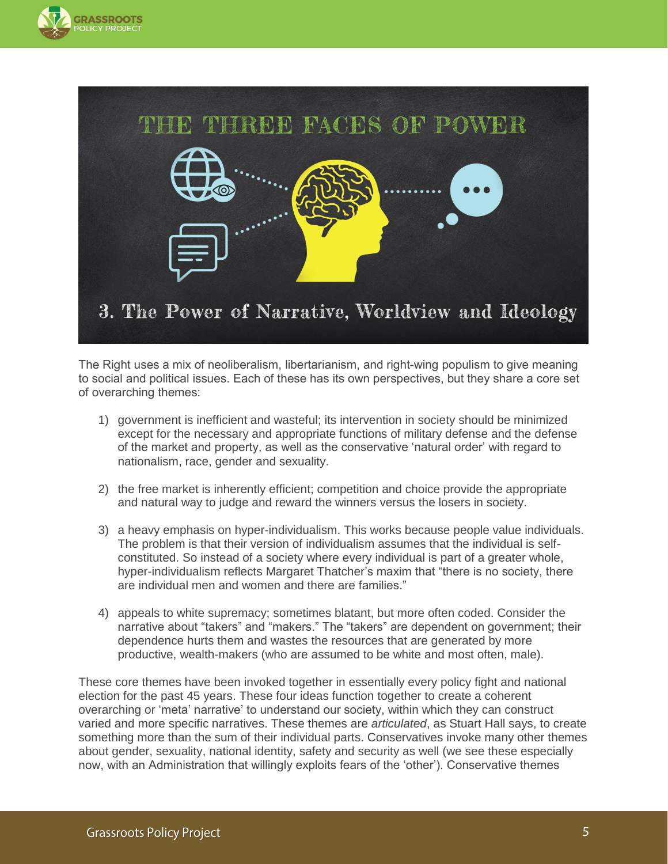



The Right uses a mix of neoliberalism, libertarianism, and right-wing populism to give meaning to social and political issues. Each of these has its own perspectives, but they share a core set of overarching themes:

- 1) government is inefficient and wasteful; its intervention in society should be minimized except for the necessary and appropriate functions of military defense and the defense of the market and property, as well as the conservative 'natural order' with regard to nationalism, race, gender and sexuality.
- 2) the free market is inherently efficient; competition and choice provide the appropriate and natural way to judge and reward the winners versus the losers in society.
- 3) a heavy emphasis on hyper-individualism. This works because people value individuals. The problem is that their version of individualism assumes that the individual is selfconstituted. So instead of a society where every individual is part of a greater whole, hyper-individualism reflects Margaret Thatcher's maxim that "there is no society, there are individual men and women and there are families."
- 4) appeals to white supremacy; sometimes blatant, but more often coded. Consider the narrative about "takers" and "makers." The "takers" are dependent on government; their dependence hurts them and wastes the resources that are generated by more productive, wealth-makers (who are assumed to be white and most often, male).

These core themes have been invoked together in essentially every policy fight and national election for the past 45 years. These four ideas function together to create a coherent overarching or 'meta' narrative' to understand our society, within which they can construct varied and more specific narratives. These themes are *articulated*, as Stuart Hall says, to create something more than the sum of their individual parts. Conservatives invoke many other themes about gender, sexuality, national identity, safety and security as well (we see these especially now, with an Administration that willingly exploits fears of the 'other'). Conservative themes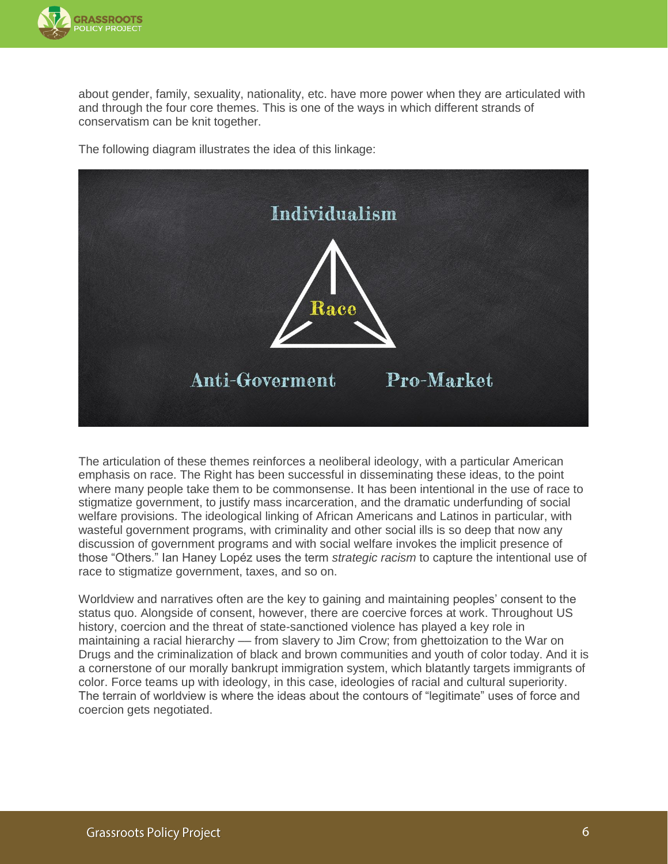

about gender, family, sexuality, nationality, etc. have more power when they are articulated with and through the four core themes. This is one of the ways in which different strands of conservatism can be knit together.





The articulation of these themes reinforces a neoliberal ideology, with a particular American emphasis on race. The Right has been successful in disseminating these ideas, to the point where many people take them to be commonsense. It has been intentional in the use of race to stigmatize government, to justify mass incarceration, and the dramatic underfunding of social welfare provisions. The ideological linking of African Americans and Latinos in particular, with wasteful government programs, with criminality and other social ills is so deep that now any discussion of government programs and with social welfare invokes the implicit presence of those "Others." Ian Haney Lopéz uses the term *strategic racism* to capture the intentional use of race to stigmatize government, taxes, and so on.

Worldview and narratives often are the key to gaining and maintaining peoples' consent to the status quo. Alongside of consent, however, there are coercive forces at work. Throughout US history, coercion and the threat of state-sanctioned violence has played a key role in maintaining a racial hierarchy — from slavery to Jim Crow; from ghettoization to the War on Drugs and the criminalization of black and brown communities and youth of color today. And it is a cornerstone of our morally bankrupt immigration system, which blatantly targets immigrants of color. Force teams up with ideology, in this case, ideologies of racial and cultural superiority. The terrain of worldview is where the ideas about the contours of "legitimate" uses of force and coercion gets negotiated.